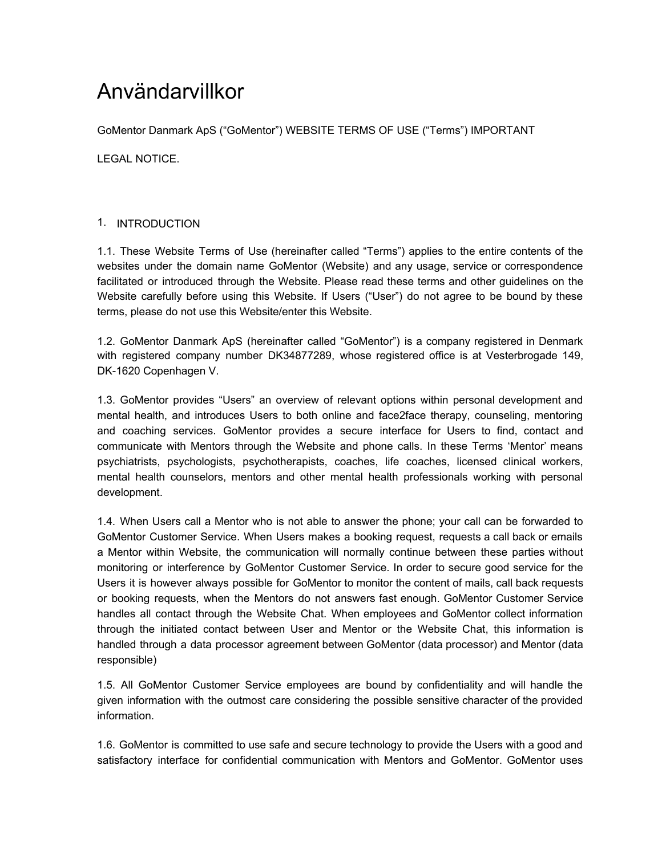# Användarvillkor

GoMentor Danmark ApS ("GoMentor") WEBSITE TERMS OF USE ("Terms") IMPORTANT

LEGAL NOTICE.

# 1. INTRODUCTION

1.1. These Website Terms of Use (hereinafter called "Terms") applies to the entire contents of the websites under the domain name GoMentor (Website) and any usage, service or correspondence facilitated or introduced through the Website. Please read these terms and other guidelines on the Website carefully before using this Website. If Users ("User") do not agree to be bound by these terms, please do not use this Website/enter this Website.

1.2. GoMentor Danmark ApS (hereinafter called "GoMentor") is a company registered in Denmark with registered company number DK34877289, whose registered office is at Vesterbrogade 149, DK-1620 Copenhagen V.

1.3. GoMentor provides "Users" an overview of relevant options within personal development and mental health, and introduces Users to both online and face2face therapy, counseling, mentoring and coaching services. GoMentor provides a secure interface for Users to find, contact and communicate with Mentors through the Website and phone calls. In these Terms 'Mentor' means psychiatrists, psychologists, psychotherapists, coaches, life coaches, licensed clinical workers, mental health counselors, mentors and other mental health professionals working with personal development.

1.4. When Users call a Mentor who is not able to answer the phone; your call can be forwarded to GoMentor Customer Service. When Users makes a booking request, requests a call back or emails a Mentor within Website, the communication will normally continue between these parties without monitoring or interference by GoMentor Customer Service. In order to secure good service for the Users it is however always possible for GoMentor to monitor the content of mails, call back requests or booking requests, when the Mentors do not answers fast enough. GoMentor Customer Service handles all contact through the Website Chat. When employees and GoMentor collect information through the initiated contact between User and Mentor or the Website Chat, this information is handled through a data processor agreement between GoMentor (data processor) and Mentor (data responsible)

1.5. All GoMentor Customer Service employees are bound by confidentiality and will handle the given information with the outmost care considering the possible sensitive character of the provided information.

1.6. GoMentor is committed to use safe and secure technology to provide the Users with a good and satisfactory interface for confidential communication with Mentors and GoMentor. GoMentor uses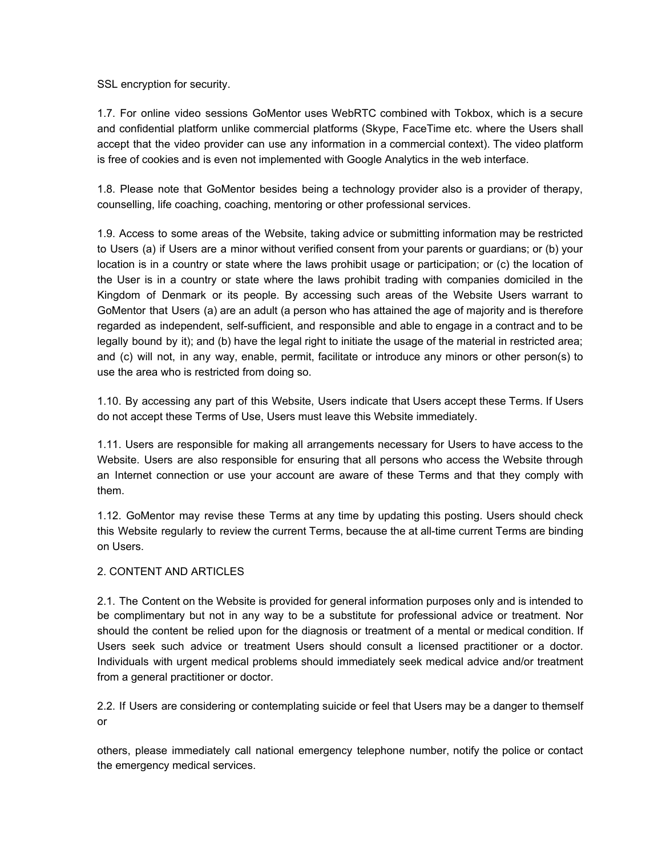SSL encryption for security.

1.7. For online video sessions GoMentor uses WebRTC combined with Tokbox, which is a secure and confidential platform unlike commercial platforms (Skype, FaceTime etc. where the Users shall accept that the video provider can use any information in a commercial context). The video platform is free of cookies and is even not implemented with Google Analytics in the web interface.

1.8. Please note that GoMentor besides being a technology provider also is a provider of therapy, counselling, life coaching, coaching, mentoring or other professional services.

1.9. Access to some areas of the Website, taking advice or submitting information may be restricted to Users (a) if Users are a minor without verified consent from your parents or guardians; or (b) your location is in a country or state where the laws prohibit usage or participation; or (c) the location of the User is in a country or state where the laws prohibit trading with companies domiciled in the Kingdom of Denmark or its people. By accessing such areas of the Website Users warrant to GoMentor that Users (a) are an adult (a person who has attained the age of majority and is therefore regarded as independent, self-sufficient, and responsible and able to engage in a contract and to be legally bound by it); and (b) have the legal right to initiate the usage of the material in restricted area; and (c) will not, in any way, enable, permit, facilitate or introduce any minors or other person(s) to use the area who is restricted from doing so.

1.10. By accessing any part of this Website, Users indicate that Users accept these Terms. If Users do not accept these Terms of Use, Users must leave this Website immediately.

1.11. Users are responsible for making all arrangements necessary for Users to have access to the Website. Users are also responsible for ensuring that all persons who access the Website through an Internet connection or use your account are aware of these Terms and that they comply with them.

1.12. GoMentor may revise these Terms at any time by updating this posting. Users should check this Website regularly to review the current Terms, because the at all-time current Terms are binding on Users.

## 2. CONTENT AND ARTICLES

2.1. The Content on the Website is provided for general information purposes only and is intended to be complimentary but not in any way to be a substitute for professional advice or treatment. Nor should the content be relied upon for the diagnosis or treatment of a mental or medical condition. If Users seek such advice or treatment Users should consult a licensed practitioner or a doctor. Individuals with urgent medical problems should immediately seek medical advice and/or treatment from a general practitioner or doctor.

2.2. If Users are considering or contemplating suicide or feel that Users may be a danger to themself or

others, please immediately call national emergency telephone number, notify the police or contact the emergency medical services.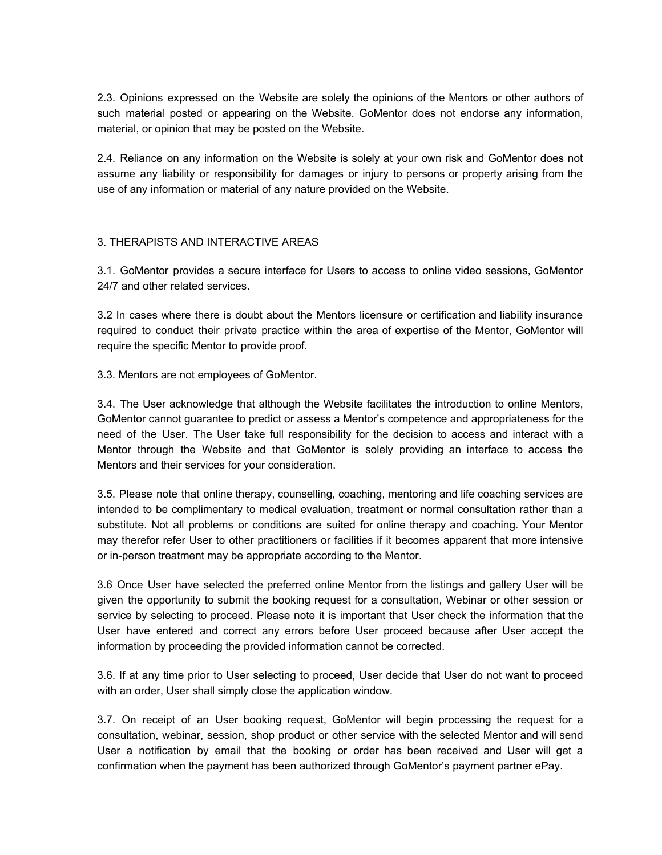2.3. Opinions expressed on the Website are solely the opinions of the Mentors or other authors of such material posted or appearing on the Website. GoMentor does not endorse any information, material, or opinion that may be posted on the Website.

2.4. Reliance on any information on the Website is solely at your own risk and GoMentor does not assume any liability or responsibility for damages or injury to persons or property arising from the use of any information or material of any nature provided on the Website.

## 3. THERAPISTS AND INTERACTIVE AREAS

3.1. GoMentor provides a secure interface for Users to access to online video sessions, GoMentor 24/7 and other related services.

3.2 In cases where there is doubt about the Mentors licensure or certification and liability insurance required to conduct their private practice within the area of expertise of the Mentor, GoMentor will require the specific Mentor to provide proof.

3.3. Mentors are not employees of GoMentor.

3.4. The User acknowledge that although the Website facilitates the introduction to online Mentors, GoMentor cannot guarantee to predict or assess a Mentor's competence and appropriateness for the need of the User. The User take full responsibility for the decision to access and interact with a Mentor through the Website and that GoMentor is solely providing an interface to access the Mentors and their services for your consideration.

3.5. Please note that online therapy, counselling, coaching, mentoring and life coaching services are intended to be complimentary to medical evaluation, treatment or normal consultation rather than a substitute. Not all problems or conditions are suited for online therapy and coaching. Your Mentor may therefor refer User to other practitioners or facilities if it becomes apparent that more intensive or in-person treatment may be appropriate according to the Mentor.

3.6 Once User have selected the preferred online Mentor from the listings and gallery User will be given the opportunity to submit the booking request for a consultation, Webinar or other session or service by selecting to proceed. Please note it is important that User check the information that the User have entered and correct any errors before User proceed because after User accept the information by proceeding the provided information cannot be corrected.

3.6. If at any time prior to User selecting to proceed, User decide that User do not want to proceed with an order, User shall simply close the application window.

3.7. On receipt of an User booking request, GoMentor will begin processing the request for a consultation, webinar, session, shop product or other service with the selected Mentor and will send User a notification by email that the booking or order has been received and User will get a confirmation when the payment has been authorized through GoMentor's payment partner ePay.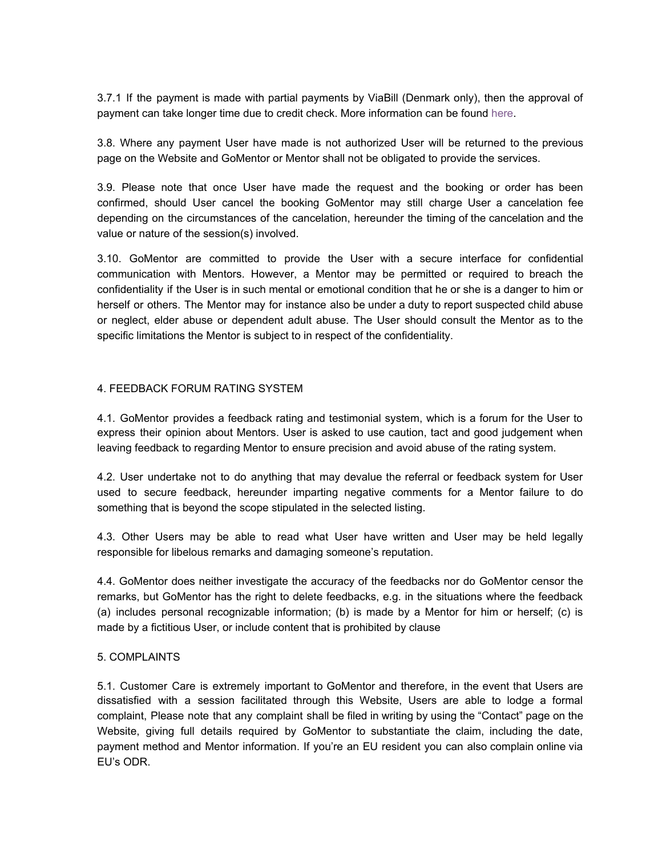3.7.1 If the payment is made with partial payments by ViaBill (Denmark only), then the approval of payment can take longer time due to credit check. More information can be found here.

3.8. Where any payment User have made is not authorized User will be returned to the previous page on the Website and GoMentor or Mentor shall not be obligated to provide the services.

3.9. Please note that once User have made the request and the booking or order has been confirmed, should User cancel the booking GoMentor may still charge User a cancelation fee depending on the circumstances of the cancelation, hereunder the timing of the cancelation and the value or nature of the session(s) involved.

3.10. GoMentor are committed to provide the User with a secure interface for confidential communication with Mentors. However, a Mentor may be permitted or required to breach the confidentiality if the User is in such mental or emotional condition that he or she is a danger to him or herself or others. The Mentor may for instance also be under a duty to report suspected child abuse or neglect, elder abuse or dependent adult abuse. The User should consult the Mentor as to the specific limitations the Mentor is subject to in respect of the confidentiality.

## 4. FEEDBACK FORUM RATING SYSTEM

4.1. GoMentor provides a feedback rating and testimonial system, which is a forum for the User to express their opinion about Mentors. User is asked to use caution, tact and good judgement when leaving feedback to regarding Mentor to ensure precision and avoid abuse of the rating system.

4.2. User undertake not to do anything that may devalue the referral or feedback system for User used to secure feedback, hereunder imparting negative comments for a Mentor failure to do something that is beyond the scope stipulated in the selected listing.

4.3. Other Users may be able to read what User have written and User may be held legally responsible for libelous remarks and damaging someone's reputation.

4.4. GoMentor does neither investigate the accuracy of the feedbacks nor do GoMentor censor the remarks, but GoMentor has the right to delete feedbacks, e.g. in the situations where the feedback (a) includes personal recognizable information; (b) is made by a Mentor for him or herself; (c) is made by a fictitious User, or include content that is prohibited by clause

## 5. COMPLAINTS

5.1. Customer Care is extremely important to GoMentor and therefore, in the event that Users are dissatisfied with a session facilitated through this Website, Users are able to lodge a formal complaint, Please note that any complaint shall be filed in writing by using the "Contact" page on the Website, giving full details required by GoMentor to substantiate the claim, including the date, payment method and Mentor information. If you're an EU resident you can also complain online via EU's ODR.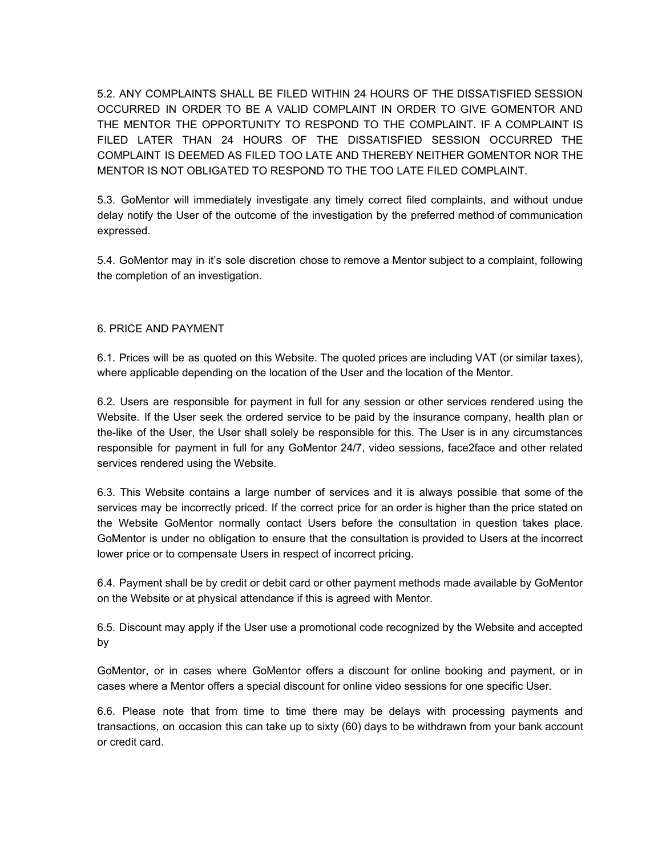5.2. ANY COMPLAINTS SHALL BE FILED WITHIN 24 HOURS OF THE DISSATISFIED SESSION OCCURRED IN ORDER TO BE A VALID COMPLAINT IN ORDER TO GIVE GOMENTOR AND THE MENTOR THE OPPORTUNITY TO RESPOND TO THE COMPLAINT. IF A COMPLAINT IS FILED LATER THAN 24 HOURS OF THE DISSATISFIED SESSION OCCURRED THE COMPLAINT IS DEEMED AS FILED TOO LATE AND THEREBY NEITHER GOMENTOR NOR THE MENTOR IS NOT OBLIGATED TO RESPOND TO THE TOO LATE FILED COMPLAINT.

5.3. GoMentor will immediately investigate any timely correct filed complaints, and without undue delay notify the User of the outcome of the investigation by the preferred method of communication expressed.

5.4. GoMentor may in it's sole discretion chose to remove a Mentor subject to a complaint, following the completion of an investigation.

#### 6. PRICE AND PAYMENT

6.1. Prices will be as quoted on this Website. The quoted prices are including VAT (or similar taxes), where applicable depending on the location of the User and the location of the Mentor.

6.2. Users are responsible for payment in full for any session or other services rendered using the Website. If the User seek the ordered service to be paid by the insurance company, health plan or the-like of the User, the User shall solely be responsible for this. The User is in any circumstances responsible for payment in full for any GoMentor 24/7, video sessions, face2face and other related services rendered using the Website.

6.3. This Website contains a large number of services and it is always possible that some of the services may be incorrectly priced. If the correct price for an order is higher than the price stated on the Website GoMentor normally contact Users before the consultation in question takes place. GoMentor is under no obligation to ensure that the consultation is provided to Users at the incorrect lower price or to compensate Users in respect of incorrect pricing.

6.4. Payment shall be by credit or debit card or other payment methods made available by GoMentor on the Website or at physical attendance if this is agreed with Mentor.

6.5. Discount may apply if the User use a promotional code recognized by the Website and accepted by

GoMentor, or in cases where GoMentor offers a discount for online booking and payment, or in cases where a Mentor offers a special discount for online video sessions for one specific User.

6.6. Please note that from time to time there may be delays with processing payments and transactions, on occasion this can take up to sixty (60) days to be withdrawn from your bank account or credit card.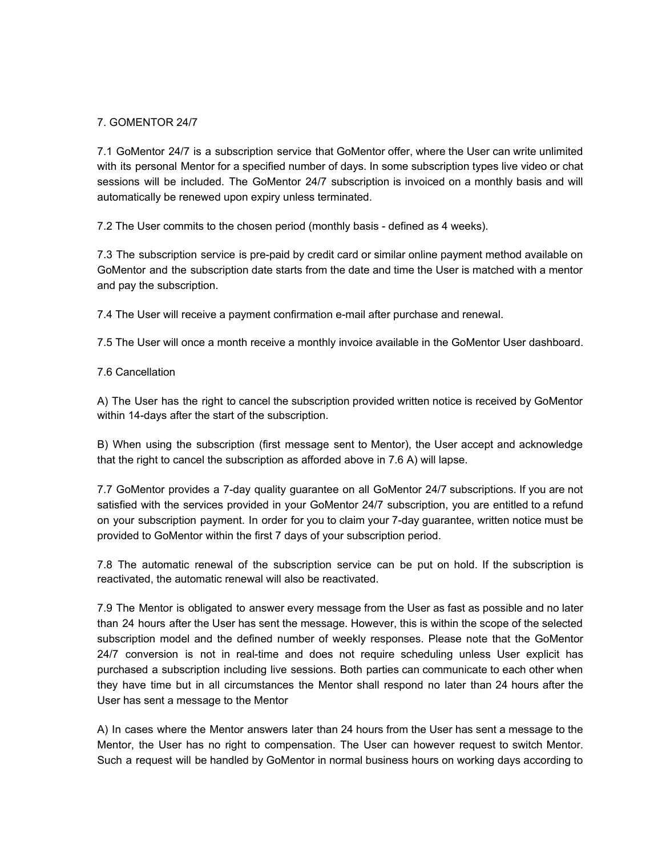# 7. GOMENTOR 24/7

7.1 GoMentor 24/7 is a subscription service that GoMentor offer, where the User can write unlimited with its personal Mentor for a specified number of days. In some subscription types live video or chat sessions will be included. The GoMentor 24/7 subscription is invoiced on a monthly basis and will automatically be renewed upon expiry unless terminated.

7.2 The User commits to the chosen period (monthly basis - defined as 4 weeks).

7.3 The subscription service is pre-paid by credit card or similar online payment method available on GoMentor and the subscription date starts from the date and time the User is matched with a mentor and pay the subscription.

7.4 The User will receive a payment confirmation e-mail after purchase and renewal.

7.5 The User will once a month receive a monthly invoice available in the GoMentor User dashboard.

## 7.6 Cancellation

A) The User has the right to cancel the subscription provided written notice is received by GoMentor within 14-days after the start of the subscription.

B) When using the subscription (first message sent to Mentor), the User accept and acknowledge that the right to cancel the subscription as afforded above in 7.6 A) will lapse.

7.7 GoMentor provides a 7-day quality guarantee on all GoMentor 24/7 subscriptions. If you are not satisfied with the services provided in your GoMentor 24/7 subscription, you are entitled to a refund on your subscription payment. In order for you to claim your 7-day guarantee, written notice must be provided to GoMentor within the first 7 days of your subscription period.

7.8 The automatic renewal of the subscription service can be put on hold. If the subscription is reactivated, the automatic renewal will also be reactivated.

7.9 The Mentor is obligated to answer every message from the User as fast as possible and no later than 24 hours after the User has sent the message. However, this is within the scope of the selected subscription model and the defined number of weekly responses. Please note that the GoMentor 24/7 conversion is not in real-time and does not require scheduling unless User explicit has purchased a subscription including live sessions. Both parties can communicate to each other when they have time but in all circumstances the Mentor shall respond no later than 24 hours after the User has sent a message to the Mentor

A) In cases where the Mentor answers later than 24 hours from the User has sent a message to the Mentor, the User has no right to compensation. The User can however request to switch Mentor. Such a request will be handled by GoMentor in normal business hours on working days according to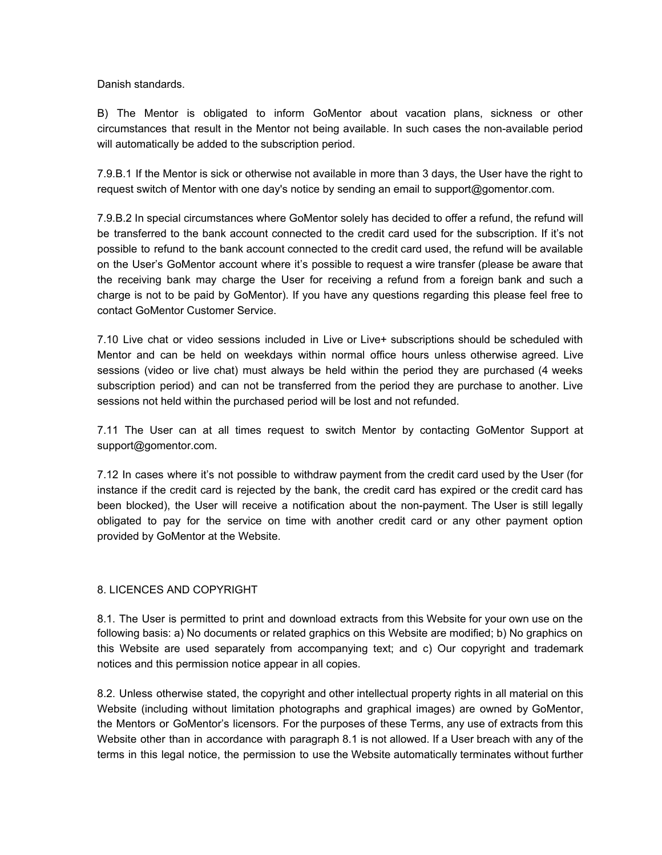#### Danish standards.

B) The Mentor is obligated to inform GoMentor about vacation plans, sickness or other circumstances that result in the Mentor not being available. In such cases the non-available period will automatically be added to the subscription period.

7.9.B.1 If the Mentor is sick or otherwise not available in more than 3 days, the User have the right to request switch of Mentor with one day's notice by sending an email to support@gomentor.com.

7.9.B.2 In special circumstances where GoMentor solely has decided to offer a refund, the refund will be transferred to the bank account connected to the credit card used for the subscription. If it's not possible to refund to the bank account connected to the credit card used, the refund will be available on the User's GoMentor account where it's possible to request a wire transfer (please be aware that the receiving bank may charge the User for receiving a refund from a foreign bank and such a charge is not to be paid by GoMentor). If you have any questions regarding this please feel free to contact GoMentor Customer Service.

7.10 Live chat or video sessions included in Live or Live+ subscriptions should be scheduled with Mentor and can be held on weekdays within normal office hours unless otherwise agreed. Live sessions (video or live chat) must always be held within the period they are purchased (4 weeks subscription period) and can not be transferred from the period they are purchase to another. Live sessions not held within the purchased period will be lost and not refunded.

7.11 The User can at all times request to switch Mentor by contacting GoMentor Support at support@gomentor.com.

7.12 In cases where it's not possible to withdraw payment from the credit card used by the User (for instance if the credit card is rejected by the bank, the credit card has expired or the credit card has been blocked), the User will receive a notification about the non-payment. The User is still legally obligated to pay for the service on time with another credit card or any other payment option provided by GoMentor at the Website.

## 8. LICENCES AND COPYRIGHT

8.1. The User is permitted to print and download extracts from this Website for your own use on the following basis: a) No documents or related graphics on this Website are modified; b) No graphics on this Website are used separately from accompanying text; and c) Our copyright and trademark notices and this permission notice appear in all copies.

8.2. Unless otherwise stated, the copyright and other intellectual property rights in all material on this Website (including without limitation photographs and graphical images) are owned by GoMentor, the Mentors or GoMentor's licensors. For the purposes of these Terms, any use of extracts from this Website other than in accordance with paragraph 8.1 is not allowed. If a User breach with any of the terms in this legal notice, the permission to use the Website automatically terminates without further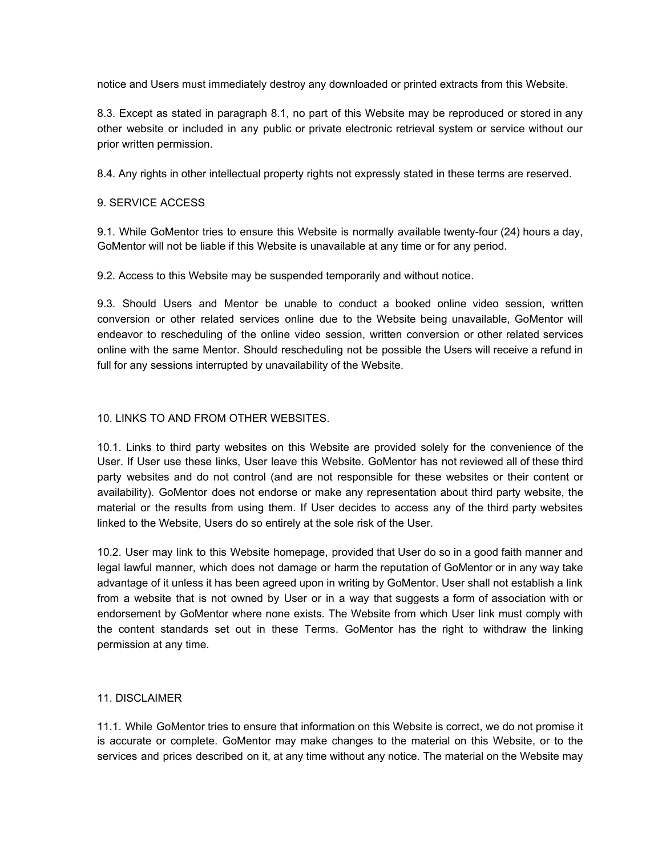notice and Users must immediately destroy any downloaded or printed extracts from this Website.

8.3. Except as stated in paragraph 8.1, no part of this Website may be reproduced or stored in any other website or included in any public or private electronic retrieval system or service without our prior written permission.

8.4. Any rights in other intellectual property rights not expressly stated in these terms are reserved.

#### 9. SERVICE ACCESS

9.1. While GoMentor tries to ensure this Website is normally available twenty-four (24) hours a day, GoMentor will not be liable if this Website is unavailable at any time or for any period.

9.2. Access to this Website may be suspended temporarily and without notice.

9.3. Should Users and Mentor be unable to conduct a booked online video session, written conversion or other related services online due to the Website being unavailable, GoMentor will endeavor to rescheduling of the online video session, written conversion or other related services online with the same Mentor. Should rescheduling not be possible the Users will receive a refund in full for any sessions interrupted by unavailability of the Website.

#### 10. LINKS TO AND FROM OTHER WEBSITES.

10.1. Links to third party websites on this Website are provided solely for the convenience of the User. If User use these links, User leave this Website. GoMentor has not reviewed all of these third party websites and do not control (and are not responsible for these websites or their content or availability). GoMentor does not endorse or make any representation about third party website, the material or the results from using them. If User decides to access any of the third party websites linked to the Website, Users do so entirely at the sole risk of the User.

10.2. User may link to this Website homepage, provided that User do so in a good faith manner and legal lawful manner, which does not damage or harm the reputation of GoMentor or in any way take advantage of it unless it has been agreed upon in writing by GoMentor. User shall not establish a link from a website that is not owned by User or in a way that suggests a form of association with or endorsement by GoMentor where none exists. The Website from which User link must comply with the content standards set out in these Terms. GoMentor has the right to withdraw the linking permission at any time.

## 11. DISCLAIMER

11.1. While GoMentor tries to ensure that information on this Website is correct, we do not promise it is accurate or complete. GoMentor may make changes to the material on this Website, or to the services and prices described on it, at any time without any notice. The material on the Website may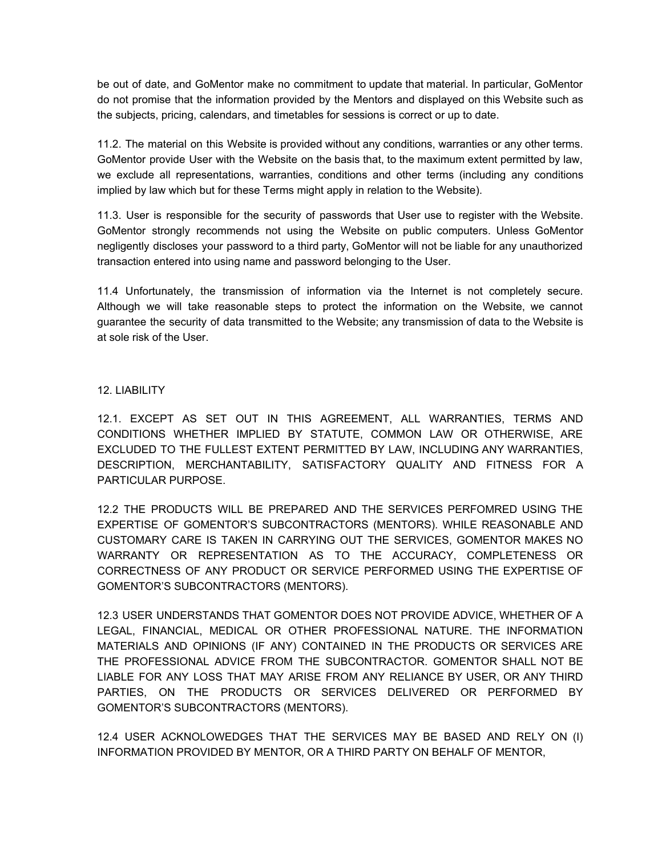be out of date, and GoMentor make no commitment to update that material. In particular, GoMentor do not promise that the information provided by the Mentors and displayed on this Website such as the subjects, pricing, calendars, and timetables for sessions is correct or up to date.

11.2. The material on this Website is provided without any conditions, warranties or any other terms. GoMentor provide User with the Website on the basis that, to the maximum extent permitted by law, we exclude all representations, warranties, conditions and other terms (including any conditions implied by law which but for these Terms might apply in relation to the Website).

11.3. User is responsible for the security of passwords that User use to register with the Website. GoMentor strongly recommends not using the Website on public computers. Unless GoMentor negligently discloses your password to a third party, GoMentor will not be liable for any unauthorized transaction entered into using name and password belonging to the User.

11.4 Unfortunately, the transmission of information via the Internet is not completely secure. Although we will take reasonable steps to protect the information on the Website, we cannot guarantee the security of data transmitted to the Website; any transmission of data to the Website is at sole risk of the User.

#### 12. LIABILITY

12.1. EXCEPT AS SET OUT IN THIS AGREEMENT, ALL WARRANTIES, TERMS AND CONDITIONS WHETHER IMPLIED BY STATUTE, COMMON LAW OR OTHERWISE, ARE EXCLUDED TO THE FULLEST EXTENT PERMITTED BY LAW, INCLUDING ANY WARRANTIES, DESCRIPTION, MERCHANTABILITY, SATISFACTORY QUALITY AND FITNESS FOR A PARTICULAR PURPOSE.

12.2 THE PRODUCTS WILL BE PREPARED AND THE SERVICES PERFOMRED USING THE EXPERTISE OF GOMENTOR'S SUBCONTRACTORS (MENTORS). WHILE REASONABLE AND CUSTOMARY CARE IS TAKEN IN CARRYING OUT THE SERVICES, GOMENTOR MAKES NO WARRANTY OR REPRESENTATION AS TO THE ACCURACY, COMPLETENESS OR CORRECTNESS OF ANY PRODUCT OR SERVICE PERFORMED USING THE EXPERTISE OF GOMENTOR'S SUBCONTRACTORS (MENTORS).

12.3 USER UNDERSTANDS THAT GOMENTOR DOES NOT PROVIDE ADVICE, WHETHER OF A LEGAL, FINANCIAL, MEDICAL OR OTHER PROFESSIONAL NATURE. THE INFORMATION MATERIALS AND OPINIONS (IF ANY) CONTAINED IN THE PRODUCTS OR SERVICES ARE THE PROFESSIONAL ADVICE FROM THE SUBCONTRACTOR. GOMENTOR SHALL NOT BE LIABLE FOR ANY LOSS THAT MAY ARISE FROM ANY RELIANCE BY USER, OR ANY THIRD PARTIES, ON THE PRODUCTS OR SERVICES DELIVERED OR PERFORMED BY GOMENTOR'S SUBCONTRACTORS (MENTORS).

12.4 USER ACKNOLOWEDGES THAT THE SERVICES MAY BE BASED AND RELY ON (I) INFORMATION PROVIDED BY MENTOR, OR A THIRD PARTY ON BEHALF OF MENTOR,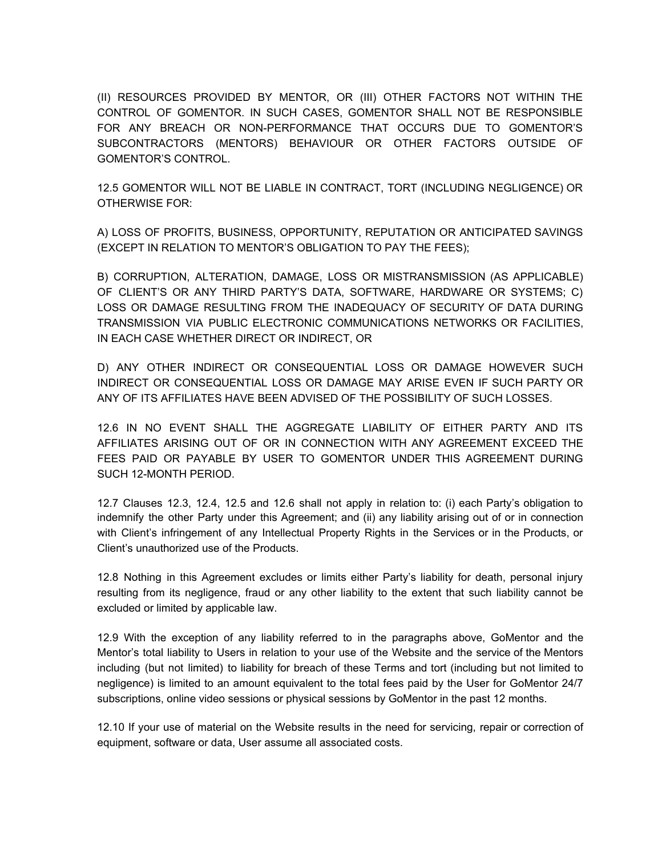(II) RESOURCES PROVIDED BY MENTOR, OR (III) OTHER FACTORS NOT WITHIN THE CONTROL OF GOMENTOR. IN SUCH CASES, GOMENTOR SHALL NOT BE RESPONSIBLE FOR ANY BREACH OR NON-PERFORMANCE THAT OCCURS DUE TO GOMENTOR'S SUBCONTRACTORS (MENTORS) BEHAVIOUR OR OTHER FACTORS OUTSIDE OF GOMENTOR'S CONTROL.

12.5 GOMENTOR WILL NOT BE LIABLE IN CONTRACT, TORT (INCLUDING NEGLIGENCE) OR OTHERWISE FOR:

A) LOSS OF PROFITS, BUSINESS, OPPORTUNITY, REPUTATION OR ANTICIPATED SAVINGS (EXCEPT IN RELATION TO MENTOR'S OBLIGATION TO PAY THE FEES);

B) CORRUPTION, ALTERATION, DAMAGE, LOSS OR MISTRANSMISSION (AS APPLICABLE) OF CLIENT'S OR ANY THIRD PARTY'S DATA, SOFTWARE, HARDWARE OR SYSTEMS; C) LOSS OR DAMAGE RESULTING FROM THE INADEQUACY OF SECURITY OF DATA DURING TRANSMISSION VIA PUBLIC ELECTRONIC COMMUNICATIONS NETWORKS OR FACILITIES, IN EACH CASE WHETHER DIRECT OR INDIRECT, OR

D) ANY OTHER INDIRECT OR CONSEQUENTIAL LOSS OR DAMAGE HOWEVER SUCH INDIRECT OR CONSEQUENTIAL LOSS OR DAMAGE MAY ARISE EVEN IF SUCH PARTY OR ANY OF ITS AFFILIATES HAVE BEEN ADVISED OF THE POSSIBILITY OF SUCH LOSSES.

12.6 IN NO EVENT SHALL THE AGGREGATE LIABILITY OF EITHER PARTY AND ITS AFFILIATES ARISING OUT OF OR IN CONNECTION WITH ANY AGREEMENT EXCEED THE FEES PAID OR PAYABLE BY USER TO GOMENTOR UNDER THIS AGREEMENT DURING SUCH 12-MONTH PERIOD.

12.7 Clauses 12.3, 12.4, 12.5 and 12.6 shall not apply in relation to: (i) each Party's obligation to indemnify the other Party under this Agreement; and (ii) any liability arising out of or in connection with Client's infringement of any Intellectual Property Rights in the Services or in the Products, or Client's unauthorized use of the Products.

12.8 Nothing in this Agreement excludes or limits either Party's liability for death, personal injury resulting from its negligence, fraud or any other liability to the extent that such liability cannot be excluded or limited by applicable law.

12.9 With the exception of any liability referred to in the paragraphs above, GoMentor and the Mentor's total liability to Users in relation to your use of the Website and the service of the Mentors including (but not limited) to liability for breach of these Terms and tort (including but not limited to negligence) is limited to an amount equivalent to the total fees paid by the User for GoMentor 24/7 subscriptions, online video sessions or physical sessions by GoMentor in the past 12 months.

12.10 If your use of material on the Website results in the need for servicing, repair or correction of equipment, software or data, User assume all associated costs.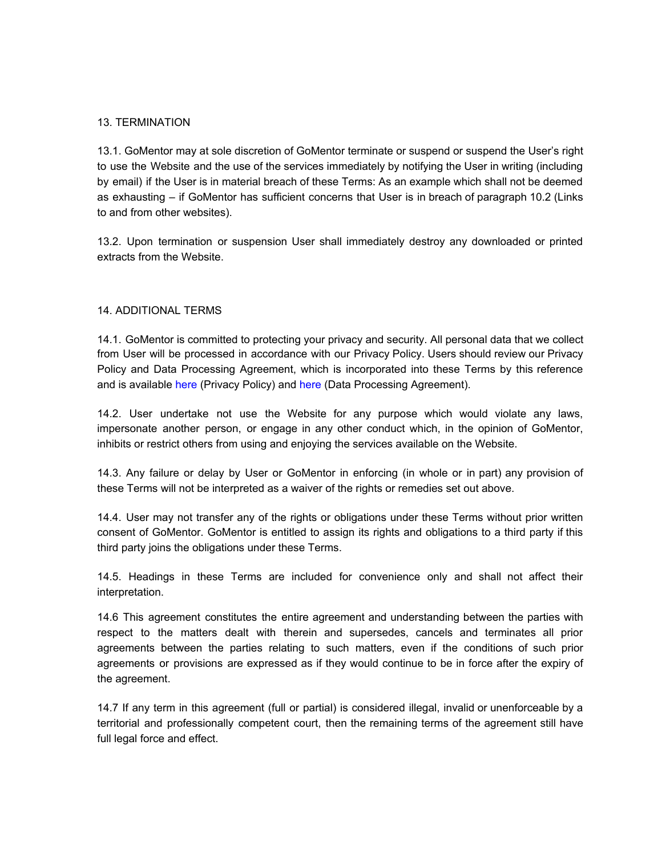#### 13. TERMINATION

13.1. GoMentor may at sole discretion of GoMentor terminate or suspend or suspend the User's right to use the Website and the use of the services immediately by notifying the User in writing (including by email) if the User is in material breach of these Terms: As an example which shall not be deemed as exhausting – if GoMentor has sufficient concerns that User is in breach of paragraph 10.2 (Links to and from other websites).

13.2. Upon termination or suspension User shall immediately destroy any downloaded or printed extracts from the Website.

#### 14. ADDITIONAL TERMS

14.1. GoMentor is committed to protecting your privacy and security. All personal data that we collect from User will be processed in accordance with our Privacy Policy. Users should review our Privacy Policy and Data Processing Agreement, which is incorporated into these Terms by this reference and is available here (Privacy Policy) and here (Data Processing Agreement).

14.2. User undertake not use the Website for any purpose which would violate any laws, impersonate another person, or engage in any other conduct which, in the opinion of GoMentor, inhibits or restrict others from using and enjoying the services available on the Website.

14.3. Any failure or delay by User or GoMentor in enforcing (in whole or in part) any provision of these Terms will not be interpreted as a waiver of the rights or remedies set out above.

14.4. User may not transfer any of the rights or obligations under these Terms without prior written consent of GoMentor. GoMentor is entitled to assign its rights and obligations to a third party if this third party joins the obligations under these Terms.

14.5. Headings in these Terms are included for convenience only and shall not affect their interpretation.

14.6 This agreement constitutes the entire agreement and understanding between the parties with respect to the matters dealt with therein and supersedes, cancels and terminates all prior agreements between the parties relating to such matters, even if the conditions of such prior agreements or provisions are expressed as if they would continue to be in force after the expiry of the agreement.

14.7 If any term in this agreement (full or partial) is considered illegal, invalid or unenforceable by a territorial and professionally competent court, then the remaining terms of the agreement still have full legal force and effect.